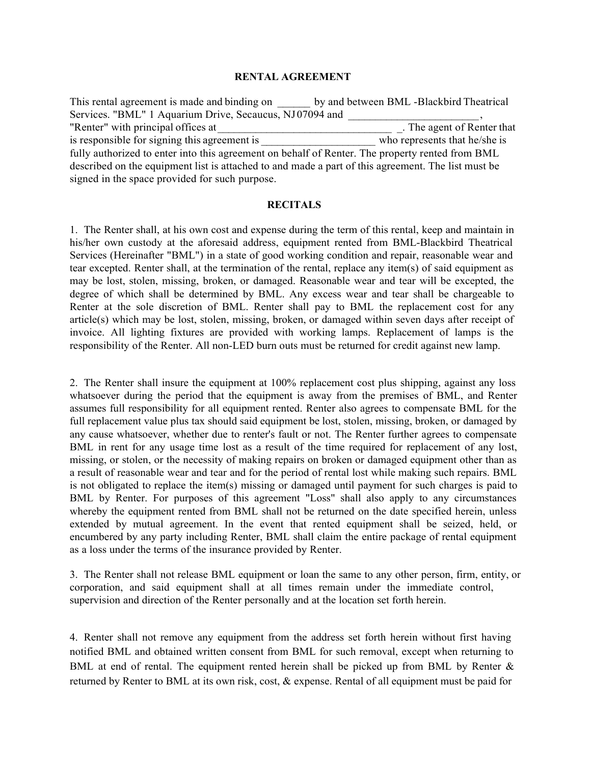## RENTAL AGREEMENT

This rental agreement is made and binding on by and between BML -Blackbird Theatrical Services. "BML" 1 Aquarium Drive, Secaucus, NJ 07094 and \_\_\_\_\_\_\_\_\_\_\_\_\_\_\_\_\_\_\_\_\_\_\_\_ , "Renter" with principal offices at is responsible for signing this agreement is who represents that he/she is fully authorized to enter into this agreement on behalf of Renter. The property rented from BML described on the equipment list is attached to and made a part of this agreement. The list must be signed in the space provided for such purpose.

## **RECITALS**

1. The Renter shall, at his own cost and expense during the term of this rental, keep and maintain in his/her own custody at the aforesaid address, equipment rented from BML-Blackbird Theatrical Services (Hereinafter "BML") in a state of good working condition and repair, reasonable wear and tear excepted. Renter shall, at the termination of the rental, replace any item(s) of said equipment as may be lost, stolen, missing, broken, or damaged. Reasonable wear and tear will be excepted, the degree of which shall be determined by BML. Any excess wear and tear shall be chargeable to Renter at the sole discretion of BML. Renter shall pay to BML the replacement cost for any article(s) which may be lost, stolen, missing, broken, or damaged within seven days after receipt of invoice. All lighting fixtures are provided with working lamps. Replacement of lamps is the responsibility of the Renter. All non-LED burn outs must be returned for credit against new lamp.

2. The Renter shall insure the equipment at 100% replacement cost plus shipping, against any loss whatsoever during the period that the equipment is away from the premises of BML, and Renter assumes full responsibility for all equipment rented. Renter also agrees to compensate BML for the full replacement value plus tax should said equipment be lost, stolen, missing, broken, or damaged by any cause whatsoever, whether due to renter's fault or not. The Renter further agrees to compensate BML in rent for any usage time lost as a result of the time required for replacement of any lost, missing, or stolen, or the necessity of making repairs on broken or damaged equipment other than as a result of reasonable wear and tear and for the period of rental lost while making such repairs. BML is not obligated to replace the item(s) missing or damaged until payment for such charges is paid to BML by Renter. For purposes of this agreement "Loss" shall also apply to any circumstances whereby the equipment rented from BML shall not be returned on the date specified herein, unless extended by mutual agreement. In the event that rented equipment shall be seized, held, or encumbered by any party including Renter, BML shall claim the entire package of rental equipment as a loss under the terms of the insurance provided by Renter.

3. The Renter shall not release BML equipment or loan the same to any other person, firm, entity, or corporation, and said equipment shall at all times remain under the immediate control, supervision and direction of the Renter personally and at the location set forth herein.

4. Renter shall not remove any equipment from the address set forth herein without first having notified BML and obtained written consent from BML for such removal, except when returning to BML at end of rental. The equipment rented herein shall be picked up from BML by Renter & returned by Renter to BML at its own risk, cost, & expense. Rental of all equipment must be paid for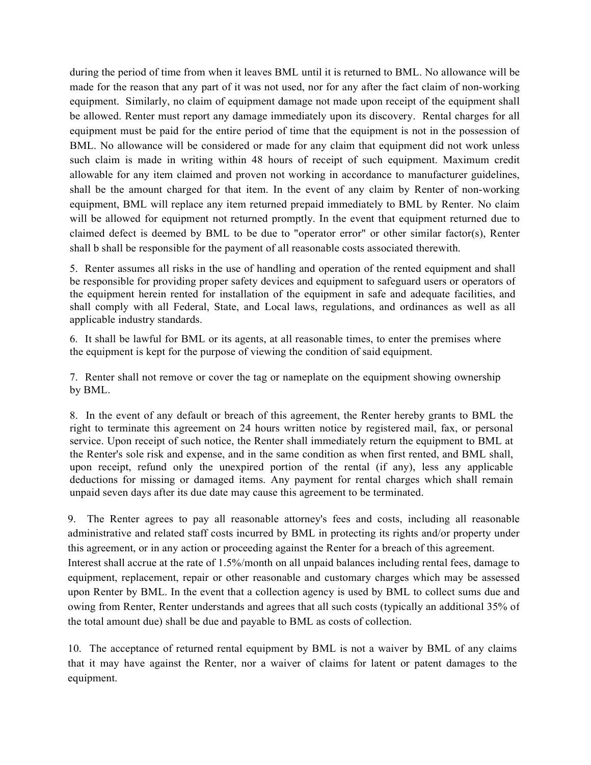during the period of time from when it leaves BML until it is returned to BML. No allowance will be made for the reason that any part of it was not used, nor for any after the fact claim of non-working equipment. Similarly, no claim of equipment damage not made upon receipt of the equipment shall be allowed. Renter must report any damage immediately upon its discovery. Rental charges for all equipment must be paid for the entire period of time that the equipment is not in the possession of BML. No allowance will be considered or made for any claim that equipment did not work unless such claim is made in writing within 48 hours of receipt of such equipment. Maximum credit allowable for any item claimed and proven not working in accordance to manufacturer guidelines, shall be the amount charged for that item. In the event of any claim by Renter of non-working equipment, BML will replace any item returned prepaid immediately to BML by Renter. No claim will be allowed for equipment not returned promptly. In the event that equipment returned due to claimed defect is deemed by BML to be due to "operator error" or other similar factor(s), Renter shall b shall be responsible for the payment of all reasonable costs associated therewith.

5. Renter assumes all risks in the use of handling and operation of the rented equipment and shall be responsible for providing proper safety devices and equipment to safeguard users or operators of the equipment herein rented for installation of the equipment in safe and adequate facilities, and shall comply with all Federal, State, and Local laws, regulations, and ordinances as well as all applicable industry standards.

6. It shall be lawful for BML or its agents, at all reasonable times, to enter the premises where the equipment is kept for the purpose of viewing the condition of said equipment.

7. Renter shall not remove or cover the tag or nameplate on the equipment showing ownership by BML.

8. In the event of any default or breach of this agreement, the Renter hereby grants to BML the right to terminate this agreement on 24 hours written notice by registered mail, fax, or personal service. Upon receipt of such notice, the Renter shall immediately return the equipment to BML at the Renter's sole risk and expense, and in the same condition as when first rented, and BML shall, upon receipt, refund only the unexpired portion of the rental (if any), less any applicable deductions for missing or damaged items. Any payment for rental charges which shall remain unpaid seven days after its due date may cause this agreement to be terminated.

9. The Renter agrees to pay all reasonable attorney's fees and costs, including all reasonable administrative and related staff costs incurred by BML in protecting its rights and/or property under this agreement, or in any action or proceeding against the Renter for a breach of this agreement. Interest shall accrue at the rate of 1.5%/month on all unpaid balances including rental fees, damage to equipment, replacement, repair or other reasonable and customary charges which may be assessed upon Renter by BML. In the event that a collection agency is used by BML to collect sums due and owing from Renter, Renter understands and agrees that all such costs (typically an additional 35% of the total amount due) shall be due and payable to BML as costs of collection.

10. The acceptance of returned rental equipment by BML is not a waiver by BML of any claims that it may have against the Renter, nor a waiver of claims for latent or patent damages to the equipment.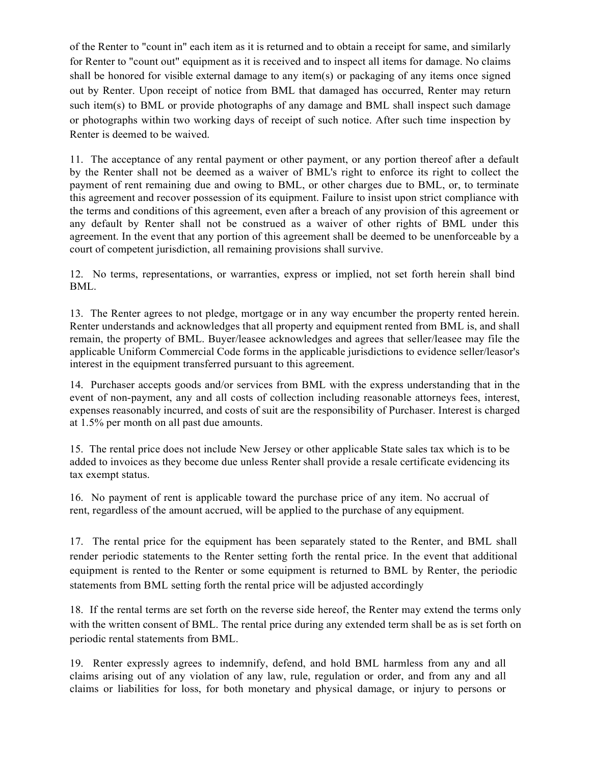of the Renter to "count in" each item as it is returned and to obtain a receipt for same, and similarly for Renter to "count out" equipment as it is received and to inspect all items for damage. No claims shall be honored for visible external damage to any item(s) or packaging of any items once signed out by Renter. Upon receipt of notice from BML that damaged has occurred, Renter may return such item(s) to BML or provide photographs of any damage and BML shall inspect such damage or photographs within two working days of receipt of such notice. After such time inspection by Renter is deemed to be waived.

11. The acceptance of any rental payment or other payment, or any portion thereof after a default by the Renter shall not be deemed as a waiver of BML's right to enforce its right to collect the payment of rent remaining due and owing to BML, or other charges due to BML, or, to terminate this agreement and recover possession of its equipment. Failure to insist upon strict compliance with the terms and conditions of this agreement, even after a breach of any provision of this agreement or any default by Renter shall not be construed as a waiver of other rights of BML under this agreement. In the event that any portion of this agreement shall be deemed to be unenforceable by a court of competent jurisdiction, all remaining provisions shall survive.

12. No terms, representations, or warranties, express or implied, not set forth herein shall bind BML.

13. The Renter agrees to not pledge, mortgage or in any way encumber the property rented herein. Renter understands and acknowledges that all property and equipment rented from BML is, and shall remain, the property of BML. Buyer/leasee acknowledges and agrees that seller/leasee may file the applicable Uniform Commercial Code forms in the applicable jurisdictions to evidence seller/leasor's interest in the equipment transferred pursuant to this agreement.

14. Purchaser accepts goods and/or services from BML with the express understanding that in the event of non-payment, any and all costs of collection including reasonable attorneys fees, interest, expenses reasonably incurred, and costs of suit are the responsibility of Purchaser. Interest is charged at 1.5% per month on all past due amounts.

15. The rental price does not include New Jersey or other applicable State sales tax which is to be added to invoices as they become due unless Renter shall provide a resale certificate evidencing its tax exempt status.

16. No payment of rent is applicable toward the purchase price of any item. No accrual of rent, regardless of the amount accrued, will be applied to the purchase of any equipment.

17. The rental price for the equipment has been separately stated to the Renter, and BML shall render periodic statements to the Renter setting forth the rental price. In the event that additional equipment is rented to the Renter or some equipment is returned to BML by Renter, the periodic statements from BML setting forth the rental price will be adjusted accordingly

18. If the rental terms are set forth on the reverse side hereof, the Renter may extend the terms only with the written consent of BML. The rental price during any extended term shall be as is set forth on periodic rental statements from BML.

19. Renter expressly agrees to indemnify, defend, and hold BML harmless from any and all claims arising out of any violation of any law, rule, regulation or order, and from any and all claims or liabilities for loss, for both monetary and physical damage, or injury to persons or